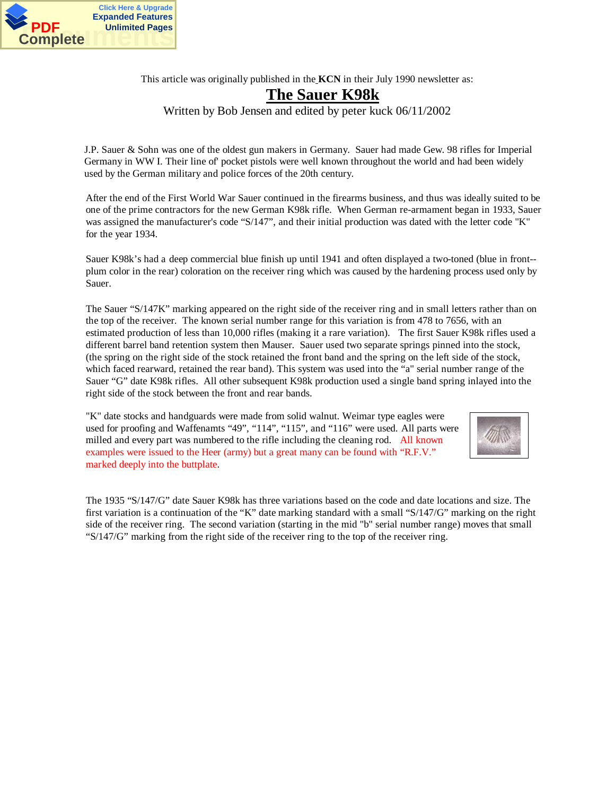

This article was originally published in the **KCN** in their July 1990 newsletter as:

### **The Sauer K98k**

Written by Bob Jensen and edited by peter kuck 06/11/2002

J.P. Sauer & Sohn was one of the oldest gun makers in Germany. Sauer had made Gew. 98 rifles for Imperial Germany in WW I. Their line of' pocket pistols were well known throughout the world and had been widely used by the German military and police forces of the 20th century.

After the end of the First World War Sauer continued in the firearms business, and thus was ideally suited to be one of the prime contractors for the new German K98k rifle. When German re-armament began in 1933, Sauer was assigned the manufacturer's code "S/147", and their initial production was dated with the letter code "K" for the year 1934.

Sauer K98k's had a deep commercial blue finish up until 1941 and often displayed a two-toned (blue in front- plum color in the rear) coloration on the receiver ring which was caused by the hardening process used only by Sauer.

The Sauer "S/147K" marking appeared on the right side of the receiver ring and in small letters rather than on the top of the receiver. The known serial number range for this variation is from 478 to 7656, with an estimated production of less than 10,000 rifles (making it a rare variation). The first Sauer K98k rifles used a different barrel band retention system then Mauser. Sauer used two separate springs pinned into the stock, (the spring on the right side of the stock retained the front band and the spring on the left side of the stock, which faced rearward, retained the rear band). This system was used into the "a" serial number range of the Sauer "G" date K98k rifles. All other subsequent K98k production used a single band spring inlayed into the right side of the stock between the front and rear bands.

"K" date stocks and handguards were made from solid walnut. Weimar type eagles were used for proofing and Waffenamts "49", "114", "115", and "116" were used. All parts were milled and every part was numbered to the rifle including the cleaning rod. All known examples were issued to the Heer (army) but a great many can be found with "R.F.V." marked deeply into the buttplate.



The 1935 "S/147/G" date Sauer K98k has three variations based on the code and date locations and size. The first variation is a continuation of the "K" date marking standard with a small "S/147/G" marking on the right side of the receiver ring. The second variation (starting in the mid "b" serial number range) moves that small "S/147/G" marking from the right side of the receiver ring to the top of the receiver ring.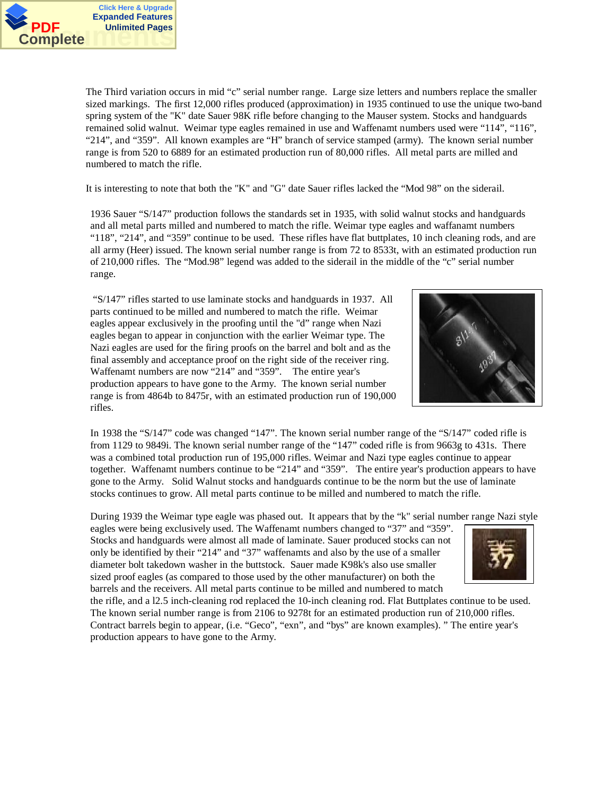

The Third variation occurs in mid "c" serial number range. Large size letters and numbers replace the smaller sized markings. The first 12,000 rifles produced (approximation) in 1935 continued to use the unique two-band spring system of the "K" date Sauer 98K rifle before changing to the Mauser system. Stocks and handguards remained solid walnut. Weimar type eagles remained in use and Waffenamt numbers used were "114", "116", "214", and "359". All known examples are "H" branch of service stamped (army). The known serial number range is from 520 to 6889 for an estimated production run of 80,000 rifles. All metal parts are milled and numbered to match the rifle.

It is interesting to note that both the "K" and "G" date Sauer rifles lacked the "Mod 98" on the siderail.

1936 Sauer "S/147" production follows the standards set in 1935, with solid walnut stocks and handguards and all metal parts milled and numbered to match the rifle. Weimar type eagles and waffanamt numbers "118", "214", and "359" continue to be used. These rifles have flat buttplates, 10 inch cleaning rods, and are all army (Heer) issued. The known serial number range is from 72 to 8533t, with an estimated production run of 210,000 rifles. The "Mod.98" legend was added to the siderail in the middle of the "c" serial number range.

 "S/147" rifles started to use laminate stocks and handguards in 1937. All parts continued to be milled and numbered to match the rifle. Weimar eagles appear exclusively in the proofing until the "d" range when Nazi eagles began to appear in conjunction with the earlier Weimar type. The Nazi eagles are used for the firing proofs on the barrel and bolt and as the final assembly and acceptance proof on the right side of the receiver ring. Waffenamt numbers are now "214" and "359". The entire year's production appears to have gone to the Army. The known serial number range is from 4864b to 8475r, with an estimated production run of 190,000 rifles.



In 1938 the "S/147" code was changed "147". The known serial number range of the "S/147" coded rifle is from 1129 to 9849i. The known serial number range of the "147" coded rifle is from 9663g to 431s. There was a combined total production run of 195,000 rifles. Weimar and Nazi type eagles continue to appear together. Waffenamt numbers continue to be "214" and "359". The entire year's production appears to have gone to the Army. Solid Walnut stocks and handguards continue to be the norm but the use of laminate stocks continues to grow. All metal parts continue to be milled and numbered to match the rifle.

During 1939 the Weimar type eagle was phased out. It appears that by the "k" serial number range Nazi style

eagles were being exclusively used. The Waffenamt numbers changed to "37" and "359". Stocks and handguards were almost all made of laminate. Sauer produced stocks can not only be identified by their "214" and "37" waffenamts and also by the use of a smaller diameter bolt takedown washer in the buttstock. Sauer made K98k's also use smaller sized proof eagles (as compared to those used by the other manufacturer) on both the barrels and the receivers. All metal parts continue to be milled and numbered to match



the rifle, and a l2.5 inch-cleaning rod replaced the 10-inch cleaning rod. Flat Buttplates continue to be used. The known serial number range is from 2106 to 9278t for an estimated production run of 210,000 rifles. Contract barrels begin to appear, (i.e. "Geco", "exn", and "bys" are known examples). " The entire year's production appears to have gone to the Army.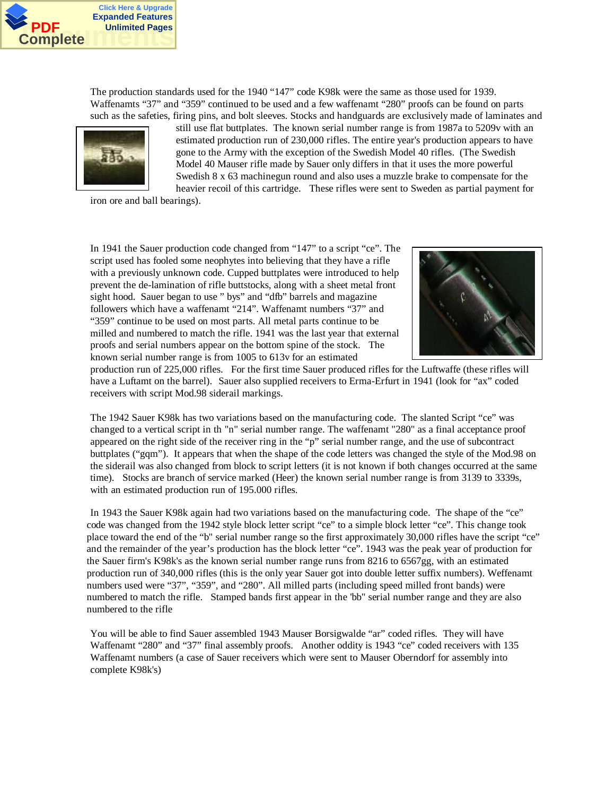

The production standards used for the 1940 "147" code K98k were the same as those used for 1939. Waffenamts "37" and "359" continued to be used and a few waffenamt "280" proofs can be found on parts such as the safeties, firing pins, and bolt sleeves. Stocks and handguards are exclusively made of laminates and



still use flat buttplates. The known serial number range is from 1987a to 5209v with an estimated production run of 230,000 rifles. The entire year's production appears to have gone to the Army with the exception of the Swedish Model 40 rifles. (The Swedish Model 40 Mauser rifle made by Sauer only differs in that it uses the more powerful Swedish 8 x 63 machinegun round and also uses a muzzle brake to compensate for the heavier recoil of this cartridge. These rifles were sent to Sweden as partial payment for

iron ore and ball bearings).

In 1941 the Sauer production code changed from "147" to a script "ce". The script used has fooled some neophytes into believing that they have a rifle with a previously unknown code. Cupped buttplates were introduced to help prevent the de-lamination of rifle buttstocks, along with a sheet metal front sight hood. Sauer began to use " bys" and "dfb" barrels and magazine followers which have a waffenamt "214". Waffenamt numbers "37" and "359" continue to be used on most parts. All metal parts continue to be milled and numbered to match the rifle. 1941 was the last year that external proofs and serial numbers appear on the bottom spine of the stock. The known serial number range is from 1005 to 613v for an estimated



production run of 225,000 rifles. For the first time Sauer produced rifles for the Luftwaffe (these rifles will have a Luftamt on the barrel). Sauer also supplied receivers to Erma-Erfurt in 1941 (look for "ax" coded receivers with script Mod.98 siderail markings.

The 1942 Sauer K98k has two variations based on the manufacturing code. The slanted Script "ce" was changed to a vertical script in th "n" serial number range. The waffenamt "280" as a final acceptance proof appeared on the right side of the receiver ring in the "p" serial number range, and the use of subcontract buttplates ("gqm"). It appears that when the shape of the code letters was changed the style of the Mod.98 on the siderail was also changed from block to script letters (it is not known if both changes occurred at the same time). Stocks are branch of service marked (Heer) the known serial number range is from 3139 to 3339s, with an estimated production run of 195.000 rifles.

In 1943 the Sauer K98k again had two variations based on the manufacturing code. The shape of the "ce" code was changed from the 1942 style block letter script "ce" to a simple block letter "ce". This change took place toward the end of the "b" serial number range so the first approximately 30,000 rifles have the script "ce" and the remainder of the year's production has the block letter "ce". 1943 was the peak year of production for the Sauer firm's K98k's as the known serial number range runs from 8216 to 6567gg, with an estimated production run of 340,000 rifles (this is the only year Sauer got into double letter suffix numbers). Weffenamt numbers used were "37", "359", and "280". All milled parts (including speed milled front bands) were numbered to match the rifle. Stamped bands first appear in the 'bb" serial number range and they are also numbered to the rifle

You will be able to find Sauer assembled 1943 Mauser Borsigwalde "ar" coded rifles. They will have Waffenamt "280" and "37" final assembly proofs. Another oddity is 1943 "ce" coded receivers with 135 Waffenamt numbers (a case of Sauer receivers which were sent to Mauser Oberndorf for assembly into complete K98k's)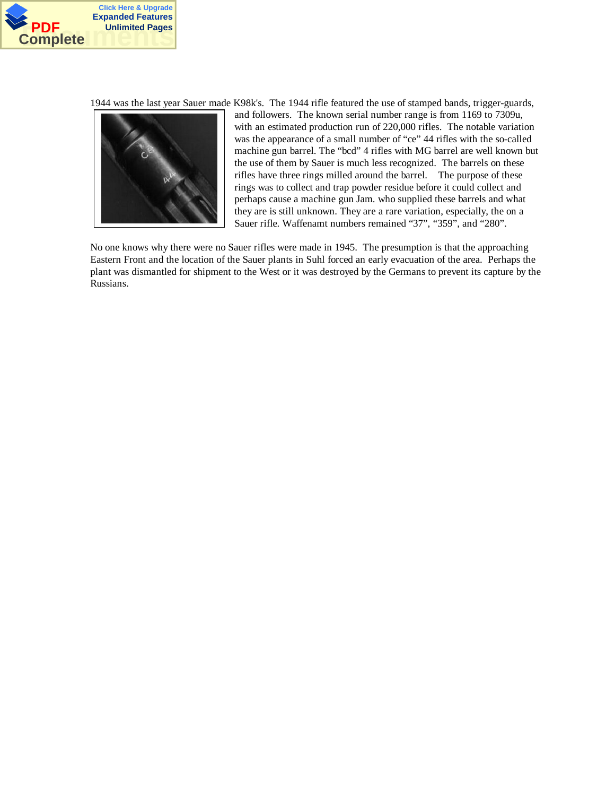

1944 was the last year Sauer made K98k's. The 1944 rifle featured the use of stamped bands, trigger-guards,



and followers. The known serial number range is from 1169 to 7309u, with an estimated production run of 220,000 rifles. The notable variation was the appearance of a small number of "ce" 44 rifles with the so-called machine gun barrel. The "bcd" 4 rifles with MG barrel are well known but the use of them by Sauer is much less recognized. The barrels on these rifles have three rings milled around the barrel. The purpose of these rings was to collect and trap powder residue before it could collect and perhaps cause a machine gun Jam. who supplied these barrels and what they are is still unknown. They are a rare variation, especially, the on a Sauer rifle. Waffenamt numbers remained "37", "359", and "280".

No one knows why there were no Sauer rifles were made in 1945. The presumption is that the approaching Eastern Front and the location of the Sauer plants in Suhl forced an early evacuation of the area. Perhaps the plant was dismantled for shipment to the West or it was destroyed by the Germans to prevent its capture by the Russians.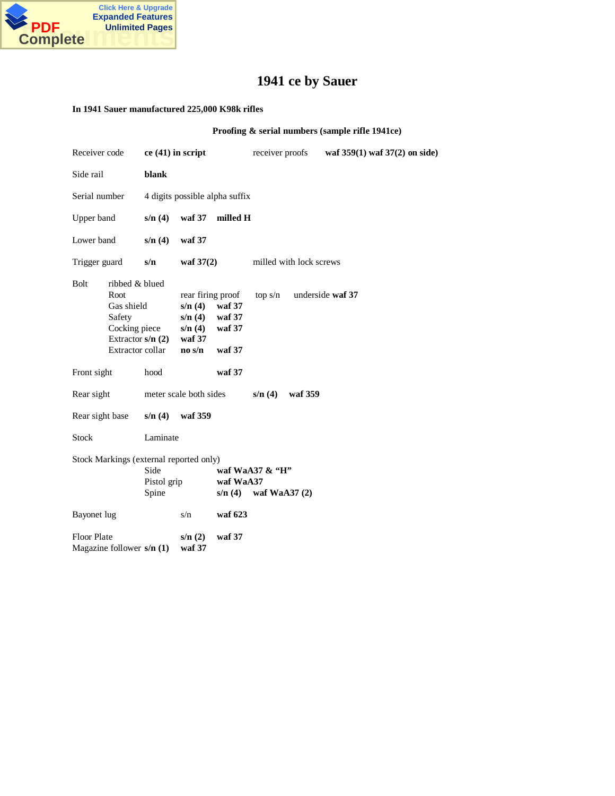

## **1941 ce by Sauer**

#### **In 1941 Sauer manufactured 225,000 K98k rifles**

**Proofing & serial numbers (sample rifle 1941ce)**

| Receiver code                                                                                                            | ce (41) in script              |                                                                                    | receiver proofs                       |                         | waf 359(1) waf 37(2) on side) |                  |  |
|--------------------------------------------------------------------------------------------------------------------------|--------------------------------|------------------------------------------------------------------------------------|---------------------------------------|-------------------------|-------------------------------|------------------|--|
| Side rail                                                                                                                | blank                          |                                                                                    |                                       |                         |                               |                  |  |
| Serial number                                                                                                            | 4 digits possible alpha suffix |                                                                                    |                                       |                         |                               |                  |  |
| Upper band                                                                                                               | s/n(4)                         | waf 37                                                                             | milled H                              |                         |                               |                  |  |
| Lower band                                                                                                               | s/n(4)                         | waf 37                                                                             |                                       |                         |                               |                  |  |
| Trigger guard                                                                                                            | s/n                            | waf $37(2)$                                                                        |                                       | milled with lock screws |                               |                  |  |
| <b>Bolt</b><br>ribbed & blued<br>Root<br>Gas shield<br>Safety<br>Cocking piece<br>Extractor $s/n(2)$<br>Extractor collar |                                | rear firing proof<br>s/n(4)<br>s/n(4)<br>s/n(4)<br>waf 37<br>$\bf{no}$ s/ $\bf{n}$ | waf 37<br>waf 37<br>waf 37<br>waf 37  | top s/n                 |                               | underside waf 37 |  |
| Front sight                                                                                                              | hood                           |                                                                                    | waf 37                                |                         |                               |                  |  |
| Rear sight                                                                                                               | meter scale both sides         |                                                                                    |                                       | s/n(4)                  | waf 359                       |                  |  |
| Rear sight base                                                                                                          | s/n(4)                         | waf 359                                                                            |                                       |                         |                               |                  |  |
| <b>Stock</b>                                                                                                             | Laminate                       |                                                                                    |                                       |                         |                               |                  |  |
| Stock Markings (external reported only)<br>Side<br>Pistol grip<br>waf WaA37<br>Spine<br>s/n(4)                           |                                |                                                                                    | waf WaA37 $\&$ "H"<br>waf WaA $37(2)$ |                         |                               |                  |  |
| Bayonet lug                                                                                                              |                                | s/n                                                                                | waf 623                               |                         |                               |                  |  |
| <b>Floor Plate</b><br>Magazine follower $s/n(1)$                                                                         |                                | s/n(2)<br>waf 37                                                                   | waf 37                                |                         |                               |                  |  |